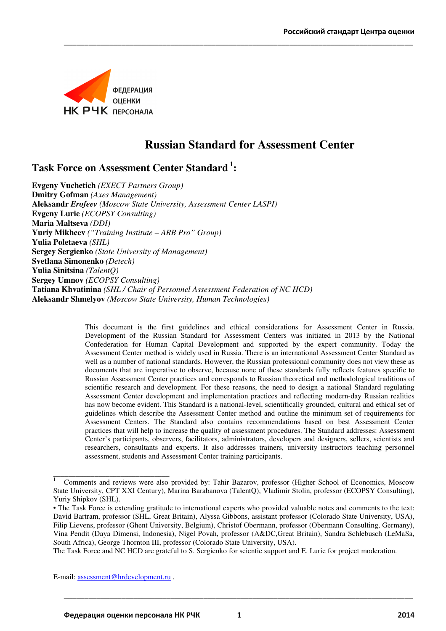

# **Russian Standard for Assessment Center**

\_\_\_\_\_\_\_\_\_\_\_\_\_\_\_\_\_\_\_\_\_\_\_\_\_\_\_\_\_\_\_\_\_\_\_\_\_\_\_\_\_\_\_\_\_\_\_\_\_\_\_\_\_\_\_\_\_\_\_\_\_\_\_\_\_\_\_\_\_\_\_\_\_\_\_\_\_\_\_\_\_\_\_\_\_

## **Task Force on Assessment Center Standard<sup>1</sup>:**

**Evgeny Vuchetich** *(EXECT Partners Group)* **Dmitry Gofman** *(Axes Management)* **Aleksandr** *Erofeev (Moscow State University, Assessment Center LASPI)* **Evgeny Lurie** *(ECOPSY Consulting)* **Maria Maltseva** *(DDI)* **Yuriy Mikheev** *("Training Institute – ARB Pro" Group)* **Yulia Poletaeva** *(SHL)* **Sergey Sergienko** *(State University of Management)* **Svetlana Simonenko** *(Detech)* **Yulia Sinitsina** *(TalentQ)* **Sergey Umnov** *(ECOPSY Consulting)*  **Tatiana Khvatinina** *(SHL / Chair of Personnel Assessment Federation of NC HCD)*  **Aleksandr Shmelyov** *(Moscow State University, Human Technologies)*

> This document is the first guidelines and ethical considerations for Assessment Center in Russia. Development of the Russian Standard for Assessment Centers was initiated in 2013 by the National Confederation for Human Capital Development and supported by the expert community. Today the Assessment Center method is widely used in Russia. There is an international Assessment Center Standard as well as a number of national standards. However, the Russian professional community does not view these as documents that are imperative to observe, because none of these standards fully reflects features specific to Russian Assessment Center practices and corresponds to Russian theoretical and methodological traditions of scientific research and development. For these reasons, the need to design a national Standard regulating Assessment Center development and implementation practices and reflecting modern-day Russian realities has now become evident. This Standard is a national-level, scientifically grounded, cultural and ethical set of guidelines which describe the Assessment Center method and outline the minimum set of requirements for Assessment Centers. The Standard also contains recommendations based on best Assessment Center practices that will help to increase the quality of assessment procedures. The Standard addresses: Assessment Center's participants, observers, facilitators, administrators, developers and designers, sellers, scientists and researchers, consultants and experts. It also addresses trainers, university instructors teaching personnel assessment, students and Assessment Center training participants.

The Task Force and NC HCD are grateful to S. Sergienko for scientic support and E. Lurie for project moderation.

E-mail: assessment@hrdevelopment.ru .

\_\_\_\_\_\_\_\_\_\_\_\_\_\_\_\_\_\_\_\_\_\_\_\_\_\_\_\_\_\_\_

<sup>1</sup> Comments and reviews were also provided by: Tahir Bazarov, professor (Higher School of Economics, Moscow State University, CPT XXI Century), Marina Barabanova (TalentQ), Vladimir Stolin, professor (ECOPSY Consulting), Yuriy Shipkov (SHL).

<sup>•</sup> The Task Force is extending gratitude to international experts who provided valuable notes and comments to the text: David Bartram, professor (SHL, Great Britain), Alyssa Gibbons, assistant professor (Colorado State University, USA), Filip Lievens, professor (Ghent University, Belgium), Christof Obermann, professor (Obermann Consulting, Germany), Vina Pendit (Daya Dimensi, Indonesia), Nigel Povah, professor (A&DC,Great Britain), Sandra Schlebusch (LeMaSa, South Africa), George Тhornton III, professor (Colorado State University, USA).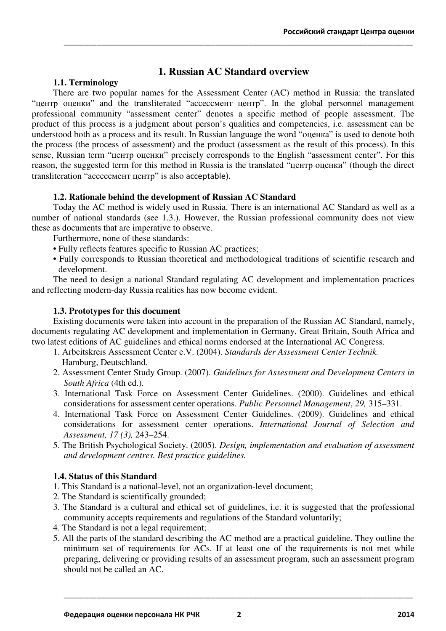## **1. Russian AC Standard overview**

\_\_\_\_\_\_\_\_\_\_\_\_\_\_\_\_\_\_\_\_\_\_\_\_\_\_\_\_\_\_\_\_\_\_\_\_\_\_\_\_\_\_\_\_\_\_\_\_\_\_\_\_\_\_\_\_\_\_\_\_\_\_\_\_\_\_\_\_\_\_\_\_\_\_\_\_\_\_\_\_\_\_\_\_\_

## **1.1. Terminology**

There are two popular names for the Assessment Center (AC) method in Russia: the translated "центр оценки" and the transliterated "ассессмент центр". In the global personnel management professional community "assessment center" denotes a specific method of people assessment. The product of this process is a judgment about person's qualities and competencies, i.e. assessment can be understood both as a process and its result. In Russian language the word "оценка" is used to denote both the process (the process of assessment) and the product (assessment as the result of this process). In this sense, Russian term "центр оценки" precisely corresponds to the English "assessment center". For this reason, the suggested term for this method in Russia is the translated "центр оценки" (though the direct transliteration "ассессмент центр" is аlso acceptable).

## **1.2. Rationale behind the development of Russian AC Standard**

Today the AC method is widely used in Russia. There is an international AC Standard as well as a number of national standards (see 1.3.). However, the Russian professional community does not view these as documents that are imperative to observe.

Furthermore, none of these standards:

- Fully reflects features specific to Russian AC practices;
- Fully corresponds to Russian theoretical and methodological traditions of scientific research and development.

The need to design a national Standard regulating AC development and implementation practices and reflecting modern-day Russia realities has now become evident.

## **1.3. Prototypes for this document**

Existing documents were taken into account in the preparation of the Russian AC Standard, namely, documents regulating AC development and implementation in Germany, Great Britain, South Africa and two latest editions of AC guidelines and ethical norms endorsed at the International AC Congress.

- 1. Arbeitskreis Assessment Center e.V. (2004). *Standards der Assessment Center Technik.*  Hamburg, Deutschland.
- 2. Assessment Center Study Group. (2007). *Guidelines for Assessment and Development Centers in South Africa* (4th ed.).
- 3. International Task Force on Assessment Center Guidelines. (2000). Guidelines and ethical considerations for assessment center operations. *Public Personnel Management*, *29,* 315–331.
- 4. International Task Force on Assessment Center Guidelines. (2009). Guidelines and ethical considerations for assessment center operations. *International Journal of Selection and Assessment, 17 (3),* 243–254.
- 5. The British Psychological Society. (2005). *Design, implementation and evaluation of assessment and development centres. Best practice guidelines.*

## **1.4. Status of this Standard**

- 1. This Standard is a national-level, not an organization-level document;
- 2. The Standard is scientifically grounded;
- 3. The Standard is a cultural and ethical set of guidelines, i.e. it is suggested that the professional community accepts requirements and regulations of the Standard voluntarily;
- 4. The Standard is not a legal requirement;
- 5. All the parts of the standard describing the AC method are a practical guideline. They outline the minimum set of requirements for ACs. If at least one of the requirements is not met while preparing, delivering or providing results of an assessment program, such an assessment program should not be called an AC.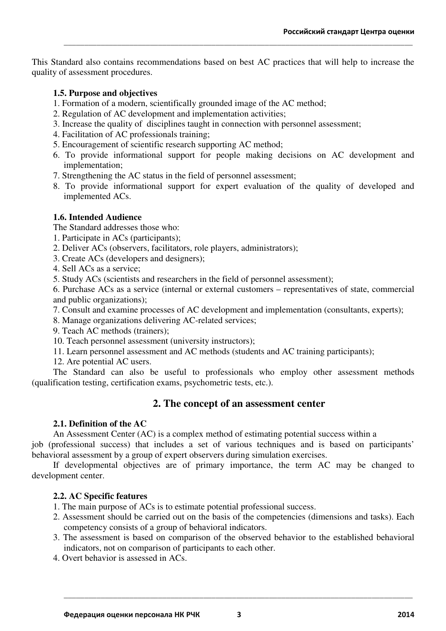This Standard also contains recommendations based on best AC practices that will help to increase the quality of assessment procedures.

\_\_\_\_\_\_\_\_\_\_\_\_\_\_\_\_\_\_\_\_\_\_\_\_\_\_\_\_\_\_\_\_\_\_\_\_\_\_\_\_\_\_\_\_\_\_\_\_\_\_\_\_\_\_\_\_\_\_\_\_\_\_\_\_\_\_\_\_\_\_\_\_\_\_\_\_\_\_\_\_\_\_\_\_\_

## **1.5. Purpose and objectives**

- 1. Formation of a modern, scientifically grounded image of the AC method;
- 2. Regulation of AC development and implementation activities;
- 3. Increase the quality of disciplines taught in connection with personnel assessment;
- 4. Facilitation of AC professionals training;
- 5. Encouragement of scientific research supporting AC method;
- 6. To provide informational support for people making decisions on AC development and implementation;
- 7. Strengthening the AC status in the field of personnel assessment;
- 8. To provide informational support for expert evaluation of the quality of developed and implemented ACs.

## **1.6. Intended Audience**

The Standard addresses those who:

- 1. Participate in ACs (participants);
- 2. Deliver ACs (observers, facilitators, role players, administrators);
- 3. Create ACs (developers and designers);
- 4. Sell ACs as a service;

5. Study ACs (scientists and researchers in the field of personnel assessment);

6. Purchase ACs as a service (internal or external customers – representatives of state, commercial and public organizations);

- 7. Consult and examine processes of AC development and implementation (consultants, experts);
- 8. Manage organizations delivering AC-related services;
- 9. Teach AC methods (trainers);
- 10. Teach personnel assessment (university instructors);
- 11. Learn personnel assessment and AC methods (students and AC training participants);
- 12. Are potential AC users.

The Standard can also be useful to professionals who employ other assessment methods (qualification testing, certification exams, psychometric tests, etc.).

## **2. The concept of an assessment center**

## **2.1. Definition of the AC**

An Assessment Center (AC) is a complex method of estimating potential success within a

job (professional success) that includes a set of various techniques and is based on participants' behavioral assessment by a group of expert observers during simulation exercises.

If developmental objectives are of primary importance, the term AC may be changed to development center.

## **2.2. AC Specific features**

- 1. The main purpose of ACs is to estimate potential professional success.
- 2. Assessment should be carried out on the basis of the competencies (dimensions and tasks). Each competency consists of a group of behavioral indicators.
- 3. The assessment is based on comparison of the observed behavior to the established behavioral indicators, not on comparison of participants to each other.
- 4. Overt behavior is assessed in ACs.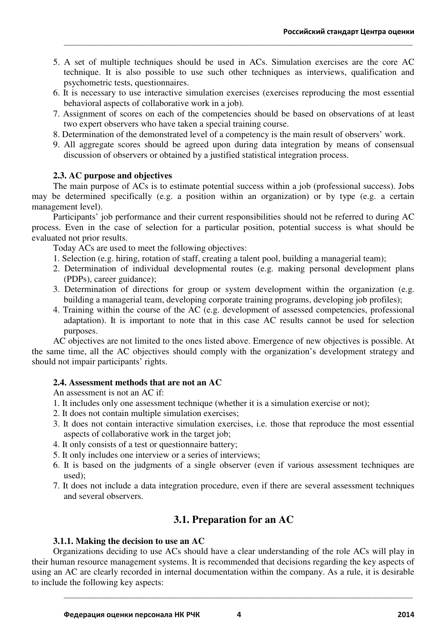5. A set of multiple techniques should be used in ACs. Simulation exercises are the core AC technique. It is also possible to use such other techniques as interviews, qualification and psychometric tests, questionnaires.

\_\_\_\_\_\_\_\_\_\_\_\_\_\_\_\_\_\_\_\_\_\_\_\_\_\_\_\_\_\_\_\_\_\_\_\_\_\_\_\_\_\_\_\_\_\_\_\_\_\_\_\_\_\_\_\_\_\_\_\_\_\_\_\_\_\_\_\_\_\_\_\_\_\_\_\_\_\_\_\_\_\_\_\_\_

- 6. It is necessary to use interactive simulation exercises (exercises reproducing the most essential behavioral aspects of collaborative work in a job).
- 7. Assignment of scores on each of the competencies should be based on observations of at least two expert observers who have taken a special training course.
- 8. Determination of the demonstrated level of a competency is the main result of observers' work.
- 9. All aggregate scores should be agreed upon during data integration by means of consensual discussion of observers or obtained by a justified statistical integration process.

## **2.3. AC purpose and objectives**

The main purpose of ACs is to estimate potential success within a job (professional success). Jobs may be determined specifically (e.g. a position within an organization) or by type (e.g. a certain management level).

Participants' job performance and their current responsibilities should not be referred to during AC process. Even in the case of selection for a particular position, potential success is what should be evaluated not prior results.

Today ACs are used to meet the following objectives:

- 1. Selection (e.g. hiring, rotation of staff, creating a talent pool, building a managerial team);
- 2. Determination of individual developmental routes (e.g. making personal development plans (PDPs), career guidance);
- 3. Determination of directions for group or system development within the organization (e.g. building a managerial team, developing corporate training programs, developing job profiles);
- 4. Training within the course of the AC (e.g. development of assessed competencies, professional adaptation). It is important to note that in this case AC results cannot be used for selection purposes.

AC objectives are not limited to the ones listed above. Emergence of new objectives is possible. At the same time, all the AC objectives should comply with the organization's development strategy and should not impair participants' rights.

## **2.4. Assessment methods that are not an AC**

An assessment is not an AC if:

- 1. It includes only one assessment technique (whether it is a simulation exercise or not);
- 2. It does not contain multiple simulation exercises;
- 3. It does not contain interactive simulation exercises, i.e. those that reproduce the most essential aspects of collaborative work in the target job;
- 4. It only consists of a test or questionnaire battery;
- 5. It only includes one interview or a series of interviews;
- 6. It is based on the judgments of a single observer (even if various assessment techniques are used);
- 7. It does not include a data integration procedure, even if there are several assessment techniques and several observers.

## **3.1. Preparation for an AC**

## **3.1.1. Making the decision to use an AC**

Organizations deciding to use ACs should have a clear understanding of the role ACs will play in their human resource management systems. It is recommended that decisions regarding the key aspects of using an AC are clearly recorded in internal documentation within the company. As a rule, it is desirable to include the following key aspects: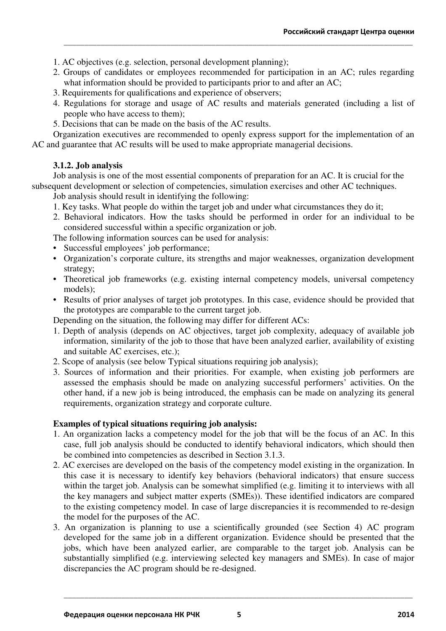- 1. AC objectives (e.g. selection, personal development planning);
- 2. Groups of candidates or employees recommended for participation in an AC; rules regarding what information should be provided to participants prior to and after an AC;

\_\_\_\_\_\_\_\_\_\_\_\_\_\_\_\_\_\_\_\_\_\_\_\_\_\_\_\_\_\_\_\_\_\_\_\_\_\_\_\_\_\_\_\_\_\_\_\_\_\_\_\_\_\_\_\_\_\_\_\_\_\_\_\_\_\_\_\_\_\_\_\_\_\_\_\_\_\_\_\_\_\_\_\_\_

- 3. Requirements for qualifications and experience of observers;
- 4. Regulations for storage and usage of AC results and materials generated (including a list of people who have access to them);
- 5. Decisions that can be made on the basis of the AC results.

Organization executives are recommended to openly express support for the implementation of an AC and guarantee that AC results will be used to make appropriate managerial decisions.

## **3.1.2. Job analysis**

Job analysis is one of the most essential components of preparation for an AC. It is crucial for the subsequent development or selection of competencies, simulation exercises and other AC techniques.

Job analysis should result in identifying the following:

- 1. Key tasks. What people do within the target job and under what circumstances they do it;
- 2. Behavioral indicators. How the tasks should be performed in order for an individual to be considered successful within a specific organization or job.

The following information sources can be used for analysis:

- Successful employees' job performance;
- Organization's corporate culture, its strengths and major weaknesses, organization development strategy;
- Theoretical job frameworks (e.g. existing internal competency models, universal competency models);
- Results of prior analyses of target job prototypes. In this case, evidence should be provided that the prototypes are comparable to the current target job.

Depending on the situation, the following may differ for different ACs:

- 1. Depth of analysis (depends on AC objectives, target job complexity, adequacy of available job information, similarity of the job to those that have been analyzed earlier, availability of existing and suitable AC exercises, etc.);
- 2. Scope of analysis (see below Typical situations requiring job analysis);
- 3. Sources of information and their priorities. For example, when existing job performers are assessed the emphasis should be made on analyzing successful performers' activities. On the other hand, if a new job is being introduced, the emphasis can be made on analyzing its general requirements, organization strategy and corporate culture.

## **Examples of typical situations requiring job analysis:**

- 1. An organization lacks a competency model for the job that will be the focus of an AC. In this case, full job analysis should be conducted to identify behavioral indicators, which should then be combined into competencies as described in Section 3.1.3.
- 2. AC exercises are developed on the basis of the competency model existing in the organization. In this case it is necessary to identify key behaviors (behavioral indicators) that ensure success within the target job. Analysis can be somewhat simplified (e.g. limiting it to interviews with all the key managers and subject matter experts (SMEs)). These identified indicators are compared to the existing competency model. In case of large discrepancies it is recommended to re-design the model for the purposes of the AC.
- 3. An organization is planning to use a scientifically grounded (see Section 4) AC program developed for the same job in a different organization. Evidence should be presented that the jobs, which have been analyzed earlier, are comparable to the target job. Analysis can be substantially simplified (e.g. interviewing selected key managers and SMEs). In case of major discrepancies the AC program should be re-designed.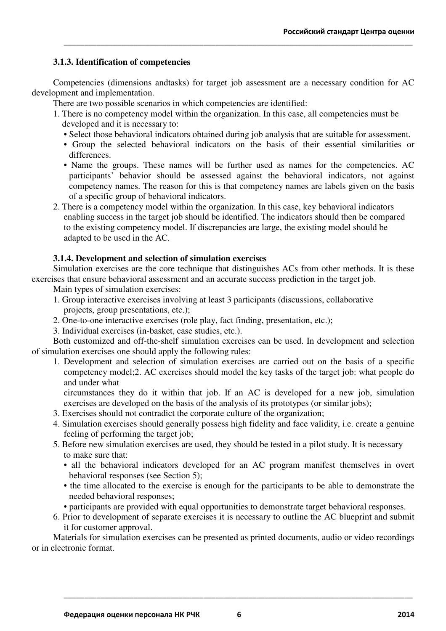#### **3.1.3. Identification of competencies**

Competencies (dimensions andtasks) for target job assessment are a necessary condition for AC development and implementation.

There are two possible scenarios in which competencies are identified:

- 1. There is no competency model within the organization. In this case, all competencies must be developed and it is necessary to:
	- Select those behavioral indicators obtained during job analysis that are suitable for assessment.

\_\_\_\_\_\_\_\_\_\_\_\_\_\_\_\_\_\_\_\_\_\_\_\_\_\_\_\_\_\_\_\_\_\_\_\_\_\_\_\_\_\_\_\_\_\_\_\_\_\_\_\_\_\_\_\_\_\_\_\_\_\_\_\_\_\_\_\_\_\_\_\_\_\_\_\_\_\_\_\_\_\_\_\_\_

- Group the selected behavioral indicators on the basis of their essential similarities or differences.
- Name the groups. These names will be further used as names for the competencies. AC participants' behavior should be assessed against the behavioral indicators, not against competency names. The reason for this is that competency names are labels given on the basis of a specific group of behavioral indicators.
- 2. There is a competency model within the organization. In this case, key behavioral indicators enabling success in the target job should be identified. The indicators should then be compared to the existing competency model. If discrepancies are large, the existing model should be adapted to be used in the AC.

## **3.1.4. Development and selection of simulation exercises**

Simulation exercises are the core technique that distinguishes ACs from other methods. It is these exercises that ensure behavioral assessment and an accurate success prediction in the target job.

Main types of simulation exercises:

- 1. Group interactive exercises involving at least 3 participants (discussions, collaborative projects, group presentations, etc.);
- 2. One-to-one interactive exercises (role play, fact finding, presentation, etc.);

3. Individual exercises (in-basket, case studies, etc.).

Both customized and off-the-shelf simulation exercises can be used. In development and selection of simulation exercises one should apply the following rules:

1. Development and selection of simulation exercises are carried out on the basis of a specific competency model;2. AC exercises should model the key tasks of the target job: what people do and under what

circumstances they do it within that job. If an AC is developed for a new job, simulation exercises are developed on the basis of the analysis of its prototypes (or similar jobs);

- 3. Exercises should not contradict the corporate culture of the organization;
- 4. Simulation exercises should generally possess high fidelity and face validity, i.e. create a genuine feeling of performing the target job;
- 5. Before new simulation exercises are used, they should be tested in a pilot study. It is necessary to make sure that:
	- all the behavioral indicators developed for an AC program manifest themselves in overt behavioral responses (see Section 5);
	- the time allocated to the exercise is enough for the participants to be able to demonstrate the needed behavioral responses;
	- participants are provided with equal opportunities to demonstrate target behavioral responses.
- 6. Prior to development of separate exercises it is necessary to outline the AC blueprint and submit it for customer approval.

Materials for simulation exercises can be presented as printed documents, audio or video recordings or in electronic format.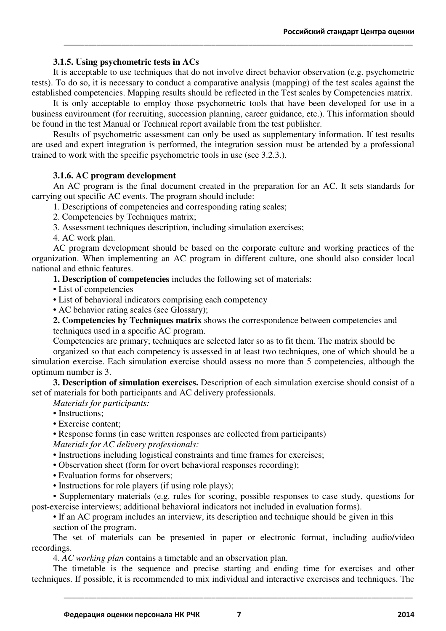#### **3.1.5. Using psychometric tests in ACs**

It is acceptable to use techniques that do not involve direct behavior observation (e.g. psychometric tests). To do so, it is necessary to conduct a comparative analysis (mapping) of the test scales against the established competencies. Mapping results should be reflected in the Test scales by Competencies matrix.

\_\_\_\_\_\_\_\_\_\_\_\_\_\_\_\_\_\_\_\_\_\_\_\_\_\_\_\_\_\_\_\_\_\_\_\_\_\_\_\_\_\_\_\_\_\_\_\_\_\_\_\_\_\_\_\_\_\_\_\_\_\_\_\_\_\_\_\_\_\_\_\_\_\_\_\_\_\_\_\_\_\_\_\_\_

It is only acceptable to employ those psychometric tools that have been developed for use in a business environment (for recruiting, succession planning, career guidance, etc.). This information should be found in the test Manual or Technical report available from the test publisher.

Results of psychometric assessment can only be used as supplementary information. If test results are used and expert integration is performed, the integration session must be attended by a professional trained to work with the specific psychometric tools in use (see 3.2.3.).

#### **3.1.6. AC program development**

An AC program is the final document created in the preparation for an AC. It sets standards for carrying out specific AC events. The program should include:

1. Descriptions of competencies and corresponding rating scales;

2. Competencies by Techniques matrix;

3. Assessment techniques description, including simulation exercises;

4. AC work plan.

AC program development should be based on the corporate culture and working practices of the organization. When implementing an AC program in different culture, one should also consider local national and ethnic features.

**1. Description of competencies** includes the following set of materials:

• List of competencies

• List of behavioral indicators comprising each competency

• AC behavior rating scales (see Glossary);

**2. Competencies by Techniques matrix** shows the correspondence between competencies and techniques used in a specific AC program.

Competencies are primary; techniques are selected later so as to fit them. The matrix should be

organized so that each competency is assessed in at least two techniques, one of which should be a simulation exercise. Each simulation exercise should assess no more than 5 competencies, although the optimum number is 3.

**3. Description of simulation exercises.** Description of each simulation exercise should consist of a set of materials for both participants and AC delivery professionals.

*Materials for participants:* 

• Instructions:

• Exercise content;

• Response forms (in case written responses are collected from participants)

*Materials for AC delivery professionals:* 

• Instructions including logistical constraints and time frames for exercises;

• Observation sheet (form for overt behavioral responses recording);

• Evaluation forms for observers;

• Instructions for role players (if using role plays);

• Supplementary materials (e.g. rules for scoring, possible responses to case study, questions for post-exercise interviews; additional behavioral indicators not included in evaluation forms).

• If an AC program includes an interview, its description and technique should be given in this section of the program.

The set of materials can be presented in paper or electronic format, including audio/video recordings.

4. *AC working plan* contains a timetable and an observation plan.

The timetable is the sequence and precise starting and ending time for exercises and other techniques. If possible, it is recommended to mix individual and interactive exercises and techniques. The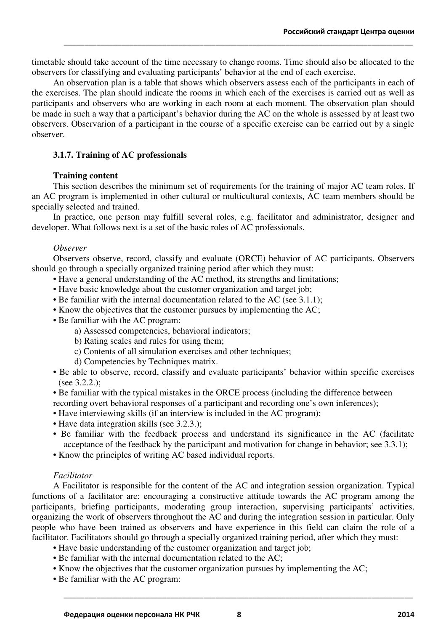timetable should take account of the time necessary to change rooms. Time should also be allocated to the observers for classifying and evaluating participants' behavior at the end of each exercise.

\_\_\_\_\_\_\_\_\_\_\_\_\_\_\_\_\_\_\_\_\_\_\_\_\_\_\_\_\_\_\_\_\_\_\_\_\_\_\_\_\_\_\_\_\_\_\_\_\_\_\_\_\_\_\_\_\_\_\_\_\_\_\_\_\_\_\_\_\_\_\_\_\_\_\_\_\_\_\_\_\_\_\_\_\_

An observation plan is a table that shows which observers assess each of the participants in each of the exercises. The plan should indicate the rooms in which each of the exercises is carried out as well as participants and observers who are working in each room at each moment. The observation plan should be made in such a way that a participant's behavior during the AC on the whole is assessed by at least two observers. Observarion of a participant in the course of a specific exercise can be carried out by a single observer.

#### **3.1.7. Training of AC professionals**

#### **Training content**

This section describes the minimum set of requirements for the training of major AC team roles. If an AC program is implemented in other cultural or multicultural contexts, AC team members should be specially selected and trained.

In practice, one person may fulfill several roles, e.g. facilitator and administrator, designer and developer. What follows next is a set of the basic roles of AC professionals.

#### *Observer*

Observers observe, record, classify and evaluate (ORCE) behavior of AC participants. Observers should go through a specially organized training period after which they must:

- Have a general understanding of the AC method, its strengths and limitations;
- Have basic knowledge about the customer organization and target job;
- Be familiar with the internal documentation related to the AC (see 3.1.1);
- Know the objectives that the customer pursues by implementing the AC;
- Be familiar with the AC program:
	- a) Assessed competencies, behavioral indicators;
	- b) Rating scales and rules for using them;
	- c) Contents of all simulation exercises and other techniques;
	- d) Competencies by Techniques matrix.
- Be able to observe, record, classify and evaluate participants' behavior within specific exercises (see 3.2.2.);
- Be familiar with the typical mistakes in the ORCE process (including the difference between recording overt behavioral responses of a participant and recording one's own inferences);
- Have interviewing skills (if an interview is included in the AC program);
- Have data integration skills (see 3.2.3.):
- Be familiar with the feedback process and understand its significance in the AC (facilitate acceptance of the feedback by the participant and motivation for change in behavior; see 3.3.1);
- Know the principles of writing AC based individual reports.

## *Facilitator*

A Facilitator is responsible for the content of the AC and integration session organization. Typical functions of a facilitator are: encouraging a constructive attitude towards the AC program among the participants, briefing participants, moderating group interaction, supervising participants' activities, organizing the work of observers throughout the AC and during the integration session in particular. Only people who have been trained as observers and have experience in this field can claim the role of a facilitator. Facilitators should go through a specially organized training period, after which they must:

- Have basic understanding of the customer organization and target job;
- Be familiar with the internal documentation related to the AC;
- Know the objectives that the customer organization pursues by implementing the AC;
- Be familiar with the AC program: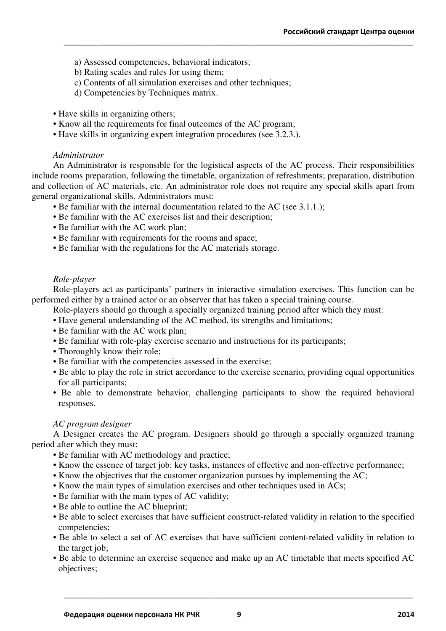- a) Assessed competencies, behavioral indicators;
- b) Rating scales and rules for using them;
- c) Contents of all simulation exercises and other techniques;
- d) Competencies by Techniques matrix.
- Have skills in organizing others:
- Know all the requirements for final outcomes of the AC program;
- Have skills in organizing expert integration procedures (see 3.2.3.).

#### *Administrator*

An Administrator is responsible for the logistical aspects of the AC process. Their responsibilities include rooms preparation, following the timetable, organization of refreshments; preparation, distribution and collection of AC materials, etc. An administrator role does not require any special skills apart from general organizational skills. Administrators must:

\_\_\_\_\_\_\_\_\_\_\_\_\_\_\_\_\_\_\_\_\_\_\_\_\_\_\_\_\_\_\_\_\_\_\_\_\_\_\_\_\_\_\_\_\_\_\_\_\_\_\_\_\_\_\_\_\_\_\_\_\_\_\_\_\_\_\_\_\_\_\_\_\_\_\_\_\_\_\_\_\_\_\_\_\_

- Be familiar with the internal documentation related to the AC (see 3.1.1.);
- Be familiar with the AC exercises list and their description;
- Be familiar with the AC work plan;
- Be familiar with requirements for the rooms and space;
- Be familiar with the regulations for the AC materials storage.

## *Role-player*

Role-players act as participants' partners in interactive simulation exercises. This function can be performed either by a trained actor or an observer that has taken a special training course.

Role-players should go through a specially organized training period after which they must:

- Have general understanding of the AC method, its strengths and limitations;
- Be familiar with the AC work plan;
- Be familiar with role-play exercise scenario and instructions for its participants;
- Thoroughly know their role;
- Be familiar with the competencies assessed in the exercise;
- Be able to play the role in strict accordance to the exercise scenario, providing equal opportunities for all participants;
- Be able to demonstrate behavior, challenging participants to show the required behavioral responses.

## *AC program designer*

A Designer creates the AC program. Designers should go through a specially organized training period after which they must:

- Be familiar with AC methodology and practice;
- Know the essence of target job: key tasks, instances of effective and non-effective performance;
- Know the objectives that the customer organization pursues by implementing the AC;
- Know the main types of simulation exercises and other techniques used in ACs;
- Be familiar with the main types of AC validity;
- Be able to outline the AC blueprint;
- Be able to select exercises that have sufficient construct-related validity in relation to the specified competencies;
- Be able to select a set of AC exercises that have sufficient content-related validity in relation to the target job;
- Be able to determine an exercise sequence and make up an AC timetable that meets specified AC objectives;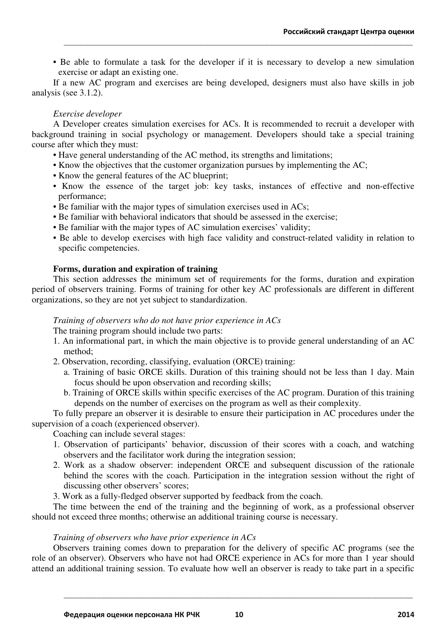• Be able to formulate a task for the developer if it is necessary to develop a new simulation exercise or adapt an existing one.

\_\_\_\_\_\_\_\_\_\_\_\_\_\_\_\_\_\_\_\_\_\_\_\_\_\_\_\_\_\_\_\_\_\_\_\_\_\_\_\_\_\_\_\_\_\_\_\_\_\_\_\_\_\_\_\_\_\_\_\_\_\_\_\_\_\_\_\_\_\_\_\_\_\_\_\_\_\_\_\_\_\_\_\_\_

If a new AC program and exercises are being developed, designers must also have skills in job analysis (see 3.1.2).

#### *Exercise developer*

A Developer creates simulation exercises for ACs. It is recommended to recruit a developer with background training in social psychology or management. Developers should take a special training course after which they must:

- Have general understanding of the AC method, its strengths and limitations;
- Know the objectives that the customer organization pursues by implementing the AC;
- Know the general features of the AC blueprint;
- Know the essence of the target job: key tasks, instances of effective and non-effective performance;
- Be familiar with the major types of simulation exercises used in ACs;
- Be familiar with behavioral indicators that should be assessed in the exercise;
- Be familiar with the major types of AC simulation exercises' validity;
- Be able to develop exercises with high face validity and construct-related validity in relation to specific competencies.

#### **Forms, duration and expiration of training**

This section addresses the minimum set of requirements for the forms, duration and expiration period of observers training. Forms of training for other key AC professionals are different in different organizations, so they are not yet subject to standardization.

#### *Training of observers who do not have prior experience in ACs*

The training program should include two parts:

- 1. An informational part, in which the main objective is to provide general understanding of an AC method;
- 2. Observation, recording, classifying, evaluation (ORCE) training:
	- a. Training of basic ORCE skills. Duration of this training should not be less than 1 day. Main focus should be upon observation and recording skills;
	- b. Training of ORCE skills within specific exercises of the AC program. Duration of this training depends on the number of exercises on the program as well as their complexity.

To fully prepare an observer it is desirable to ensure their participation in AC procedures under the supervision of a coach (experienced observer).

Coaching can include several stages:

- 1. Observation of participants' behavior, discussion of their scores with a coach, and watching observers and the facilitator work during the integration session;
- 2. Work as a shadow observer: independent ORCE and subsequent discussion of the rationale behind the scores with the coach. Participation in the integration session without the right of discussing other observers' scores;
- 3. Work as a fully-fledged observer supported by feedback from the coach.

The time between the end of the training and the beginning of work, as a professional observer should not exceed three months; otherwise an additional training course is necessary.

#### *Training of observers who have prior experience in ACs*

Observers training comes down to preparation for the delivery of specific AC programs (see the role of an observer). Observers who have not had ORCE experience in ACs for more than 1 year should attend an additional training session. To evaluate how well an observer is ready to take part in a specific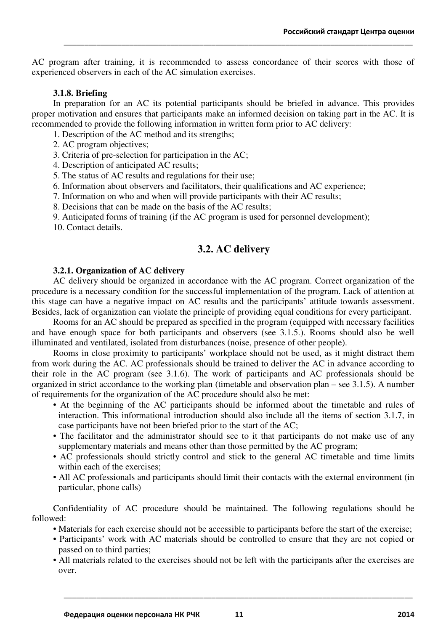AC program after training, it is recommended to assess concordance of their scores with those of experienced observers in each of the AC simulation exercises.

\_\_\_\_\_\_\_\_\_\_\_\_\_\_\_\_\_\_\_\_\_\_\_\_\_\_\_\_\_\_\_\_\_\_\_\_\_\_\_\_\_\_\_\_\_\_\_\_\_\_\_\_\_\_\_\_\_\_\_\_\_\_\_\_\_\_\_\_\_\_\_\_\_\_\_\_\_\_\_\_\_\_\_\_\_

#### **3.1.8. Briefing**

In preparation for an AC its potential participants should be briefed in advance. This provides proper motivation and ensures that participants make an informed decision on taking part in the AC. It is recommended to provide the following information in written form prior to AC delivery:

1. Description of the AC method and its strengths;

- 2. AC program objectives;
- 3. Criteria of pre-selection for participation in the AC;
- 4. Description of anticipated AC results;
- 5. The status of AC results and regulations for their use;
- 6. Information about observers and facilitators, their qualifications and AC experience;
- 7. Information on who and when will provide participants with their AC results;
- 8. Decisions that can be made on the basis of the AC results;

9. Anticipated forms of training (if the AC program is used for personnel development);

10. Contact details.

## **3.2. AC delivery**

#### **3.2.1. Organization of AC delivery**

AC delivery should be organized in accordance with the AC program. Correct organization of the procedure is a necessary condition for the successful implementation of the program. Lack of attention at this stage can have a negative impact on AC results and the participants' attitude towards assessment. Besides, lack of organization can violate the principle of providing equal conditions for every participant.

Rooms for an AC should be prepared as specified in the program (equipped with necessary facilities and have enough space for both participants and observers (see 3.1.5.). Rooms should also be well illuminated and ventilated, isolated from disturbances (noise, presence of other people).

Rooms in close proximity to participants' workplace should not be used, as it might distract them from work during the AC. AC professionals should be trained to deliver the AC in advance according to their role in the AC program (see 3.1.6). The work of participants and AC professionals should be organized in strict accordance to the working plan (timetable and observation plan – see 3.1.5). A number of requirements for the organization of the AC procedure should also be met:

- At the beginning of the AC participants should be informed about the timetable and rules of interaction. This informational introduction should also include all the items of section 3.1.7, in case participants have not been briefed prior to the start of the AC;
- The facilitator and the administrator should see to it that participants do not make use of any supplementary materials and means other than those permitted by the AC program;
- AC professionals should strictly control and stick to the general AC timetable and time limits within each of the exercises;
- All AC professionals and participants should limit their contacts with the external environment (in particular, phone calls)

Confidentiality of AC procedure should be maintained. The following regulations should be followed:

- Materials for each exercise should not be accessible to participants before the start of the exercise;
- Participants' work with AC materials should be controlled to ensure that they are not copied or passed on to third parties;
- All materials related to the exercises should not be left with the participants after the exercises are over.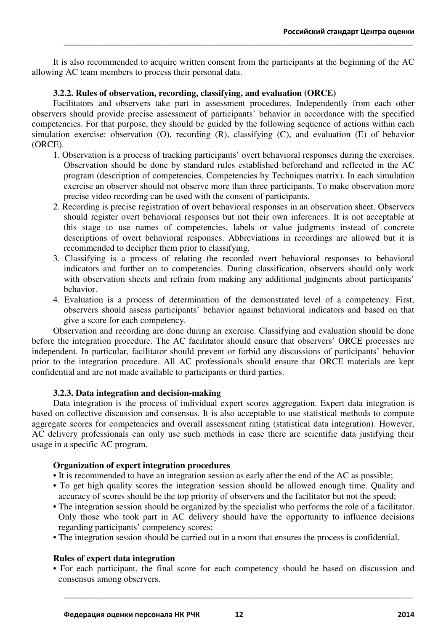It is also recommended to acquire written consent from the participants at the beginning of the AC allowing AC team members to process their personal data.

\_\_\_\_\_\_\_\_\_\_\_\_\_\_\_\_\_\_\_\_\_\_\_\_\_\_\_\_\_\_\_\_\_\_\_\_\_\_\_\_\_\_\_\_\_\_\_\_\_\_\_\_\_\_\_\_\_\_\_\_\_\_\_\_\_\_\_\_\_\_\_\_\_\_\_\_\_\_\_\_\_\_\_\_\_

## **3.2.2. Rules of observation, recording, classifying, and evaluation (ORCE)**

Facilitators and observers take part in assessment procedures. Independently from each other observers should provide precise assessment of participants' behavior in accordance with the specified competencies. For that purpose, they should be guided by the following sequence of actions within each simulation exercise: observation (O), recording (R), classifying (C), and evaluation (E) of behavior (ORCE).

- 1. Observation is a process of tracking participants' overt behavioral responses during the exercises. Observation should be done by standard rules established beforehand and reflected in the AC program (description of competencies, Competencies by Techniques matrix). In each simulation exercise an observer should not observe more than three participants. To make observation more precise video recording can be used with the consent of participants.
- 2. Recording is precise registration of overt behavioral responses in an observation sheet. Observers should register overt behavioral responses but not their own inferences. It is not acceptable at this stage to use names of competencies, labels or value judgments instead of concrete descriptions of overt behavioral responses. Abbreviations in recordings are allowed but it is recommended to decipher them prior to classifying.
- 3. Classifying is a process of relating the recorded overt behavioral responses to behavioral indicators and further on to competencies. During classification, observers should only work with observation sheets and refrain from making any additional judgments about participants' behavior.
- 4. Evaluation is a process of determination of the demonstrated level of a competency. First, observers should assess participants' behavior against behavioral indicators and based on that give a score for each competency.

Observation and recording are done during an exercise. Classifying and evaluation should be done before the integration procedure. The AC facilitator should ensure that observers' ORCE processes are independent. In particular, facilitator should prevent or forbid any discussions of participants' behavior prior to the integration procedure. All AC professionals should ensure that ORCE materials are kept confidential and are not made available to participants or third parties.

## **3.2.3. Data integration and decision-making**

Data integration is the process of individual expert scores aggregation. Expert data integration is based on collective discussion and consensus. It is also acceptable to use statistical methods to compute aggregate scores for competencies and overall assessment rating (statistical data integration). However, AC delivery professionals can only use such methods in case there are scientific data justifying their usage in a specific AC program.

## **Organization of expert integration procedures**

- It is recommended to have an integration session as early after the end of the AC as possible;
- To get high quality scores the integration session should be allowed enough time. Quality and accuracy of scores should be the top priority of observers and the facilitator but not the speed;
- The integration session should be organized by the specialist who performs the role of a facilitator. Only those who took part in AC delivery should have the opportunity to influence decisions regarding participants' competency scores;
- The integration session should be carried out in a room that ensures the process is confidential.

## **Rules of expert data integration**

• For each participant, the final score for each competency should be based on discussion and consensus among observers.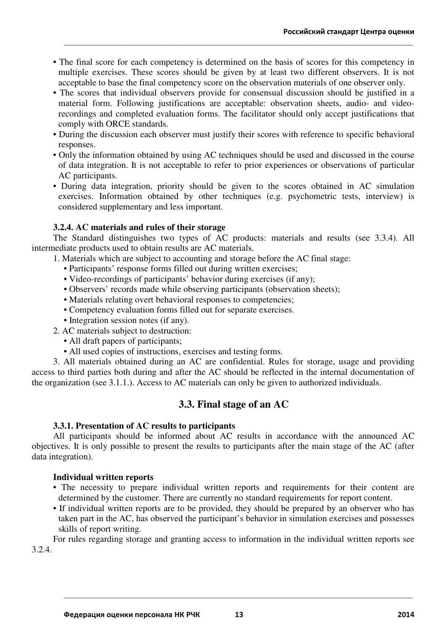• The final score for each competency is determined on the basis of scores for this competency in multiple exercises. These scores should be given by at least two different observers. It is not acceptable to base the final competency score on the observation materials of one observer only.

\_\_\_\_\_\_\_\_\_\_\_\_\_\_\_\_\_\_\_\_\_\_\_\_\_\_\_\_\_\_\_\_\_\_\_\_\_\_\_\_\_\_\_\_\_\_\_\_\_\_\_\_\_\_\_\_\_\_\_\_\_\_\_\_\_\_\_\_\_\_\_\_\_\_\_\_\_\_\_\_\_\_\_\_\_

- The scores that individual observers provide for consensual discussion should be justified in a material form. Following justifications are acceptable: observation sheets, audio- and videorecordings and completed evaluation forms. The facilitator should only accept justifications that comply with ORCE standards.
- During the discussion each observer must justify their scores with reference to specific behavioral responses.
- Only the information obtained by using AC techniques should be used and discussed in the course of data integration. It is not acceptable to refer to prior experiences or observations of particular AC participants.
- During data integration, priority should be given to the scores obtained in AC simulation exercises. Information obtained by other techniques (e.g. psychometric tests, interview) is considered supplementary and less important.

## **3.2.4. AC materials and rules of their storage**

The Standard distinguishes two types of AC products: materials and results (see 3.3.4). All intermediate products used to obtain results are AC materials.

1. Materials which are subject to accounting and storage before the AC final stage:

- Participants' response forms filled out during written exercises:
- Video-recordings of participants' behavior during exercises (if any);
- Observers' records made while observing participants (observation sheets);
- Materials relating overt behavioral responses to competencies;
- Competency evaluation forms filled out for separate exercises.
- Integration session notes (if any).
- 2. AC materials subject to destruction:
	- All draft papers of participants;
	- All used copies of instructions, exercises and testing forms.

3. All materials obtained during an AC are confidential. Rules for storage, usage and providing access to third parties both during and after the AC should be reflected in the internal documentation of the organization (see 3.1.1.). Access to AC materials can only be given to authorized individuals.

## **3.3. Final stage of an AC**

## **3.3.1. Presentation of AC results to participants**

All participants should be informed about AC results in accordance with the announced AC objectives. It is only possible to present the results to participants after the main stage of the AC (after data integration).

#### **Individual written reports**

- The necessity to prepare individual written reports and requirements for their content are determined by the customer. There are currently no standard requirements for report content.
- If individual written reports are to be provided, they should be prepared by an observer who has taken part in the AC, has observed the participant's behavior in simulation exercises and possesses skills of report writing.

For rules regarding storage and granting access to information in the individual written reports see 3.2.4.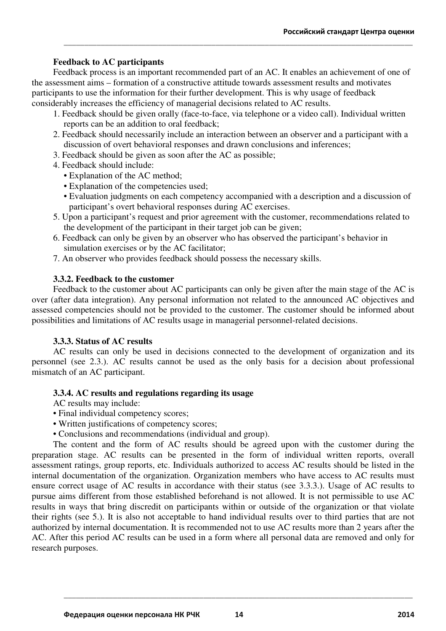## **Feedback to AC participants**

Feedback process is an important recommended part of an AC. It enables an achievement of one of the assessment aims – formation of a constructive attitude towards assessment results and motivates participants to use the information for their further development. This is why usage of feedback considerably increases the efficiency of managerial decisions related to AC results.

1. Feedback should be given orally (face-to-face, via telephone or a video call). Individual written reports can be an addition to oral feedback;

\_\_\_\_\_\_\_\_\_\_\_\_\_\_\_\_\_\_\_\_\_\_\_\_\_\_\_\_\_\_\_\_\_\_\_\_\_\_\_\_\_\_\_\_\_\_\_\_\_\_\_\_\_\_\_\_\_\_\_\_\_\_\_\_\_\_\_\_\_\_\_\_\_\_\_\_\_\_\_\_\_\_\_\_\_

- 2. Feedback should necessarily include an interaction between an observer and a participant with a discussion of overt behavioral responses and drawn conclusions and inferences;
- 3. Feedback should be given as soon after the AC as possible;
- 4. Feedback should include:
	- Explanation of the AC method;
	- Explanation of the competencies used;
	- Evaluation judgments on each competency accompanied with a description and a discussion of participant's overt behavioral responses during AC exercises.
- 5. Upon a participant's request and prior agreement with the customer, recommendations related to the development of the participant in their target job can be given;
- 6. Feedback can only be given by an observer who has observed the participant's behavior in simulation exercises or by the AC facilitator;
- 7. An observer who provides feedback should possess the necessary skills.

## **3.3.2. Feedback to the customer**

Feedback to the customer about AC participants can only be given after the main stage of the AC is over (after data integration). Any personal information not related to the announced AC objectives and assessed competencies should not be provided to the customer. The customer should be informed about possibilities and limitations of AC results usage in managerial personnel-related decisions.

## **3.3.3. Status of AC results**

AC results can only be used in decisions connected to the development of organization and its personnel (see 2.3.). AC results cannot be used as the only basis for a decision about professional mismatch of an AC participant.

## **3.3.4. AC results and regulations regarding its usage**

AC results may include:

- Final individual competency scores;
- Written justifications of competency scores;
- Conclusions and recommendations (individual and group).

The content and the form of AC results should be agreed upon with the customer during the preparation stage. AC results can be presented in the form of individual written reports, overall assessment ratings, group reports, etc. Individuals authorized to access AC results should be listed in the internal documentation of the organization. Organization members who have access to AC results must ensure correct usage of AC results in accordance with their status (see 3.3.3.). Usage of AC results to pursue aims different from those established beforehand is not allowed. It is not permissible to use AC results in ways that bring discredit on participants within or outside of the organization or that violate their rights (see 5.). It is also not acceptable to hand individual results over to third parties that are not authorized by internal documentation. It is recommended not to use AC results more than 2 years after the AC. After this period AC results can be used in a form where all personal data are removed and only for research purposes.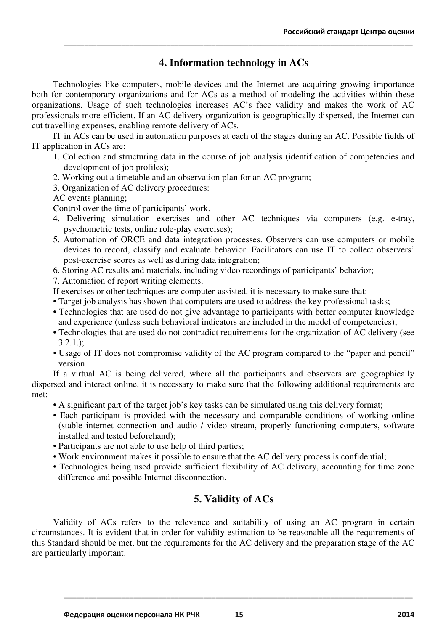## **4. Information technology in ACs**

\_\_\_\_\_\_\_\_\_\_\_\_\_\_\_\_\_\_\_\_\_\_\_\_\_\_\_\_\_\_\_\_\_\_\_\_\_\_\_\_\_\_\_\_\_\_\_\_\_\_\_\_\_\_\_\_\_\_\_\_\_\_\_\_\_\_\_\_\_\_\_\_\_\_\_\_\_\_\_\_\_\_\_\_\_

Technologies like computers, mobile devices and the Internet are acquiring growing importance both for contemporary organizations and for ACs as a method of modeling the activities within these organizations. Usage of such technologies increases AC's face validity and makes the work of AC professionals more efficient. If an AC delivery organization is geographically dispersed, the Internet can cut travelling expenses, enabling remote delivery of ACs.

IT in ACs can be used in automation purposes at each of the stages during an AC. Possible fields of IT application in ACs are:

- 1. Collection and structuring data in the course of job analysis (identification of competencies and development of job profiles);
- 2. Working out a timetable and an observation plan for an AC program;
- 3. Organization of AC delivery procedures:

AC events planning;

Control over the time of participants' work.

- 4. Delivering simulation exercises and other AC techniques via computers (e.g. e-tray, psychometric tests, online role-play exercises);
- 5. Automation of ORCE and data integration processes. Observers can use computers or mobile devices to record, classify and evaluate behavior. Facilitators can use IT to collect observers' post-exercise scores as well as during data integration;
- 6. Storing AC results and materials, including video recordings of participants' behavior;

7. Automation of report writing elements.

If exercises or other techniques are computer-assisted, it is necessary to make sure that:

- Target job analysis has shown that computers are used to address the key professional tasks;
- Technologies that are used do not give advantage to participants with better computer knowledge and experience (unless such behavioral indicators are included in the model of competencies);
- Technologies that are used do not contradict requirements for the organization of AC delivery (see  $3.2.1.$ ):
- Usage of IT does not compromise validity of the AC program compared to the "paper and pencil" version.

If a virtual AC is being delivered, where all the participants and observers are geographically dispersed and interact online, it is necessary to make sure that the following additional requirements are met:

- A significant part of the target job's key tasks can be simulated using this delivery format;
- Each participant is provided with the necessary and comparable conditions of working online (stable internet connection and audio / video stream, properly functioning computers, software installed and tested beforehand);
- Participants are not able to use help of third parties;
- Work environment makes it possible to ensure that the AC delivery process is confidential;
- Technologies being used provide sufficient flexibility of AC delivery, accounting for time zone difference and possible Internet disconnection.

# **5. Validity of ACs**

Validity of ACs refers to the relevance and suitability of using an AC program in certain circumstances. It is evident that in order for validity estimation to be reasonable all the requirements of this Standard should be met, but the requirements for the AC delivery and the preparation stage of the AC are particularly important.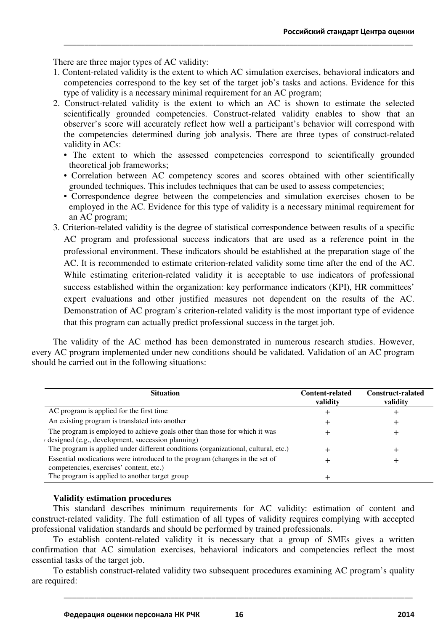There are three major types of AC validity:

1. Content-related validity is the extent to which AC simulation exercises, behavioral indicators and competencies correspond to the key set of the target job's tasks and actions. Evidence for this type of validity is a necessary minimal requirement for an AC program;

\_\_\_\_\_\_\_\_\_\_\_\_\_\_\_\_\_\_\_\_\_\_\_\_\_\_\_\_\_\_\_\_\_\_\_\_\_\_\_\_\_\_\_\_\_\_\_\_\_\_\_\_\_\_\_\_\_\_\_\_\_\_\_\_\_\_\_\_\_\_\_\_\_\_\_\_\_\_\_\_\_\_\_\_\_

- 2. Construct-related validity is the extent to which an AC is shown to estimate the selected scientifically grounded competencies. Construct-related validity enables to show that an observer's score will accurately reflect how well a participant's behavior will correspond with the competencies determined during job analysis. There are three types of construct-related validity in ACs:
	- The extent to which the assessed competencies correspond to scientifically grounded theoretical job frameworks;
	- Correlation between AC competency scores and scores obtained with other scientifically grounded techniques. This includes techniques that can be used to assess competencies;
	- Correspondence degree between the competencies and simulation exercises chosen to be employed in the AC. Evidence for this type of validity is a necessary minimal requirement for an AC program;
- 3. Criterion-related validity is the degree of statistical correspondence between results of a specific AC program and professional success indicators that are used as a reference point in the professional environment. These indicators should be established at the preparation stage of the AC. It is recommended to estimate criterion-related validity some time after the end of the AC. While estimating criterion-related validity it is acceptable to use indicators of professional success established within the organization: key performance indicators (KPI), HR committees' expert evaluations and other justified measures not dependent on the results of the AC. Demonstration of AC program's criterion-related validity is the most important type of evidence that this program can actually predict professional success in the target job.

The validity of the AC method has been demonstrated in numerous research studies. However, every AC program implemented under new conditions should be validated. Validation of an AC program should be carried out in the following situations:

| <b>Situation</b>                                                                                                                | <b>Content-related</b><br>validity | <b>Construct-ralated</b><br>validity |
|---------------------------------------------------------------------------------------------------------------------------------|------------------------------------|--------------------------------------|
| AC program is applied for the first time                                                                                        |                                    |                                      |
| An existing program is translated into another                                                                                  |                                    |                                      |
| The program is employed to achieve goals other than those for which it was<br>designed (e.g., development, succession planning) |                                    |                                      |
| The program is applied under different conditions (organizational, cultural, etc.)                                              |                                    |                                      |
| Essential modications were introduced to the program (changes in the set of<br>competencies, exercises' content, etc.)          |                                    |                                      |
| The program is applied to another target group                                                                                  |                                    |                                      |

## **Validity estimation procedures**

This standard describes minimum requirements for AC validity: estimation of content and construct-related validity. The full estimation of all types of validity requires complying with accepted professional validation standards and should be performed by trained professionals.

To establish content-related validity it is necessary that a group of SMEs gives a written confirmation that AC simulation exercises, behavioral indicators and competencies reflect the most essential tasks of the target job.

To establish construct-related validity two subsequent procedures examining AC program's quality are required: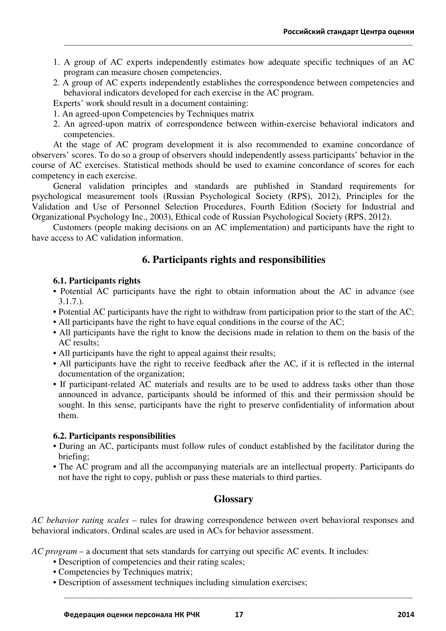1. A group of AC experts independently estimates how adequate specific techniques of an AC program can measure chosen competencies.

\_\_\_\_\_\_\_\_\_\_\_\_\_\_\_\_\_\_\_\_\_\_\_\_\_\_\_\_\_\_\_\_\_\_\_\_\_\_\_\_\_\_\_\_\_\_\_\_\_\_\_\_\_\_\_\_\_\_\_\_\_\_\_\_\_\_\_\_\_\_\_\_\_\_\_\_\_\_\_\_\_\_\_\_\_

2. A group of AC experts independently establishes the correspondence between competencies and behavioral indicators developed for each exercise in the AC program.

Experts' work should result in a document containing:

- 1. An agreed-upon Competencies by Techniques matrix
- 2. An agreed-upon matrix of correspondence between within-exercise behavioral indicators and competencies.

At the stage of AC program development it is also recommended to examine concordance of observers' scores. To do so a group of observers should independently assess participants' behavior in the course of AC exercises. Statistical methods should be used to examine concordance of scores for each competency in each exercise.

General validation principles and standards are published in Standard requirements for psychological measurement tools (Russian Psychological Society (RPS), 2012), Principles for the Validation and Use of Personnel Selection Procedures, Fourth Edition (Society for Industrial and Organizational Psychology Inc., 2003), Ethical code of Russian Psychological Society (RPS, 2012).

Customers (people making decisions on an AC implementation) and participants have the right to have access to AC validation information.

## **6. Participants rights and responsibilities**

## **6.1. Participants rights**

- Potential AC participants have the right to obtain information about the AC in advance (see 3.1.7.).
- Potential AC participants have the right to withdraw from participation prior to the start of the AC;
- All participants have the right to have equal conditions in the course of the AC;
- All participants have the right to know the decisions made in relation to them on the basis of the AC results;
- All participants have the right to appeal against their results;
- All participants have the right to receive feedback after the AC, if it is reflected in the internal documentation of the organization;
- If participant-related AC materials and results are to be used to address tasks other than those announced in advance, participants should be informed of this and their permission should be sought. In this sense, participants have the right to preserve confidentiality of information about them.

#### **6.2. Participants responsibilities**

- During an AC, participants must follow rules of conduct established by the facilitator during the briefing;
- The AC program and all the accompanying materials are an intellectual property. Participants do not have the right to copy, publish or pass these materials to third parties.

## **Glossary**

*AC behavior rating scales* – rules for drawing correspondence between overt behavioral responses and behavioral indicators. Ordinal scales are used in ACs for behavior assessment.

*AC program* – a document that sets standards for carrying out specific AC events. It includes:

- Description of competencies and their rating scales;
- Competencies by Techniques matrix;
- Description of assessment techniques including simulation exercises;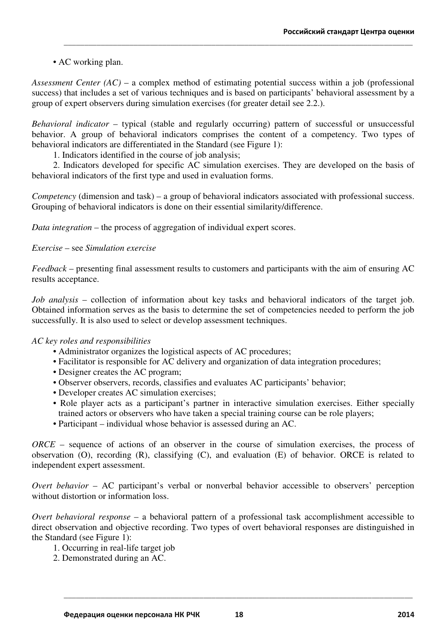## • AC working plan.

*Assessment Center (AC)* – a complex method of estimating potential success within a job (professional success) that includes a set of various techniques and is based on participants' behavioral assessment by a group of expert observers during simulation exercises (for greater detail see 2.2.).

\_\_\_\_\_\_\_\_\_\_\_\_\_\_\_\_\_\_\_\_\_\_\_\_\_\_\_\_\_\_\_\_\_\_\_\_\_\_\_\_\_\_\_\_\_\_\_\_\_\_\_\_\_\_\_\_\_\_\_\_\_\_\_\_\_\_\_\_\_\_\_\_\_\_\_\_\_\_\_\_\_\_\_\_\_

*Behavioral indicator* – typical (stable and regularly occurring) pattern of successful or unsuccessful behavior. A group of behavioral indicators comprises the content of a competency. Two types of behavioral indicators are differentiated in the Standard (see Figure 1):

1. Indicators identified in the course of job analysis;

2. Indicators developed for specific AC simulation exercises. They are developed on the basis of behavioral indicators of the first type and used in evaluation forms.

*Competency* (dimension and task) – a group of behavioral indicators associated with professional success. Grouping of behavioral indicators is done on their essential similarity/difference.

*Data integration* – the process of aggregation of individual expert scores.

## *Exercise* – see *Simulation exercise*

*Feedback* – presenting final assessment results to customers and participants with the aim of ensuring AC results acceptance.

*Job analysis* – collection of information about key tasks and behavioral indicators of the target job. Obtained information serves as the basis to determine the set of competencies needed to perform the job successfully. It is also used to select or develop assessment techniques.

#### *AC key roles and responsibilities*

- Administrator organizes the logistical aspects of AC procedures;
- Facilitator is responsible for AC delivery and organization of data integration procedures;
- Designer creates the AC program;
- Observer observers, records, classifies and evaluates AC participants' behavior;
- Developer creates AC simulation exercises;
- Role player acts as a participant's partner in interactive simulation exercises. Either specially trained actors or observers who have taken a special training course can be role players;
- Participant individual whose behavior is assessed during an AC.

*ORCE* – sequence of actions of an observer in the course of simulation exercises, the process of observation (O), recording (R), classifying (C), and evaluation (E) of behavior. ORCE is related to independent expert assessment.

*Overt behavior* – AC participant's verbal or nonverbal behavior accessible to observers' perception without distortion or information loss.

*Overt behavioral response* – a behavioral pattern of a professional task accomplishment accessible to direct observation and objective recording. Two types of overt behavioral responses are distinguished in the Standard (see Figure 1):

- 1. Occurring in real-life target job
- 2. Demonstrated during an AC.